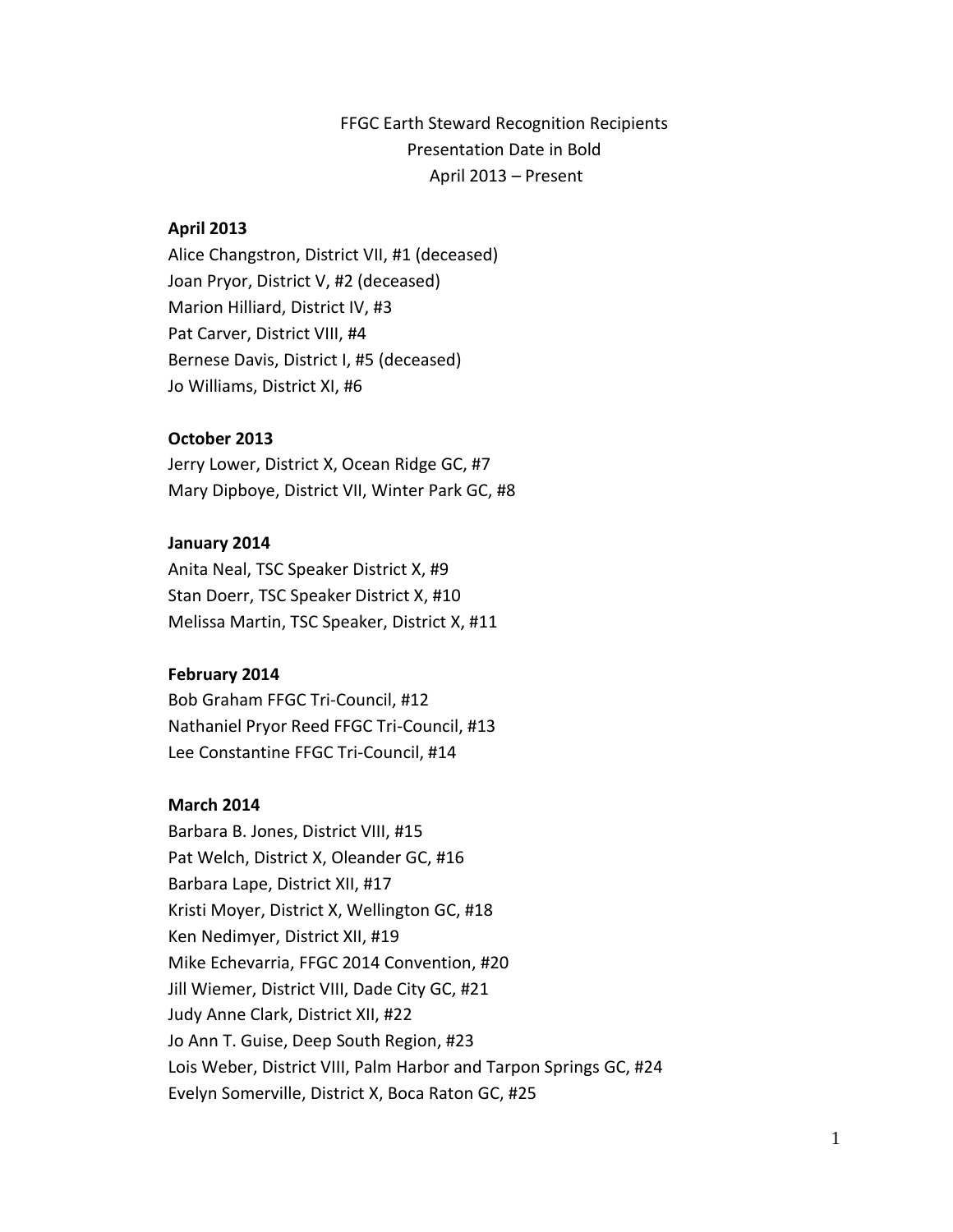# FFGC Earth Steward Recognition Recipients Presentation Date in Bold April 2013 – Present

### **April 2013**

Alice Changstron, District VII, #1 (deceased) Joan Pryor, District V, #2 (deceased) Marion Hilliard, District IV, #3 Pat Carver, District VIII, #4 Bernese Davis, District I, #5 (deceased) Jo Williams, District XI, #6

### **October 2013**

Jerry Lower, District X, Ocean Ridge GC, #7 Mary Dipboye, District VII, Winter Park GC, #8

#### **January 2014**

Anita Neal, TSC Speaker District X, #9 Stan Doerr, TSC Speaker District X, #10 Melissa Martin, TSC Speaker, District X, #11

#### **February 2014**

Bob Graham FFGC Tri-Council, #12 Nathaniel Pryor Reed FFGC Tri-Council, #13 Lee Constantine FFGC Tri-Council, #14

### **March 2014**

Barbara B. Jones, District VIII, #15 Pat Welch, District X, Oleander GC, #16 Barbara Lape, District XII, #17 Kristi Moyer, District X, Wellington GC, #18 Ken Nedimyer, District XII, #19 Mike Echevarria, FFGC 2014 Convention, #20 Jill Wiemer, District VIII, Dade City GC, #21 Judy Anne Clark, District XII, #22 Jo Ann T. Guise, Deep South Region, #23 Lois Weber, District VIII, Palm Harbor and Tarpon Springs GC, #24 Evelyn Somerville, District X, Boca Raton GC, #25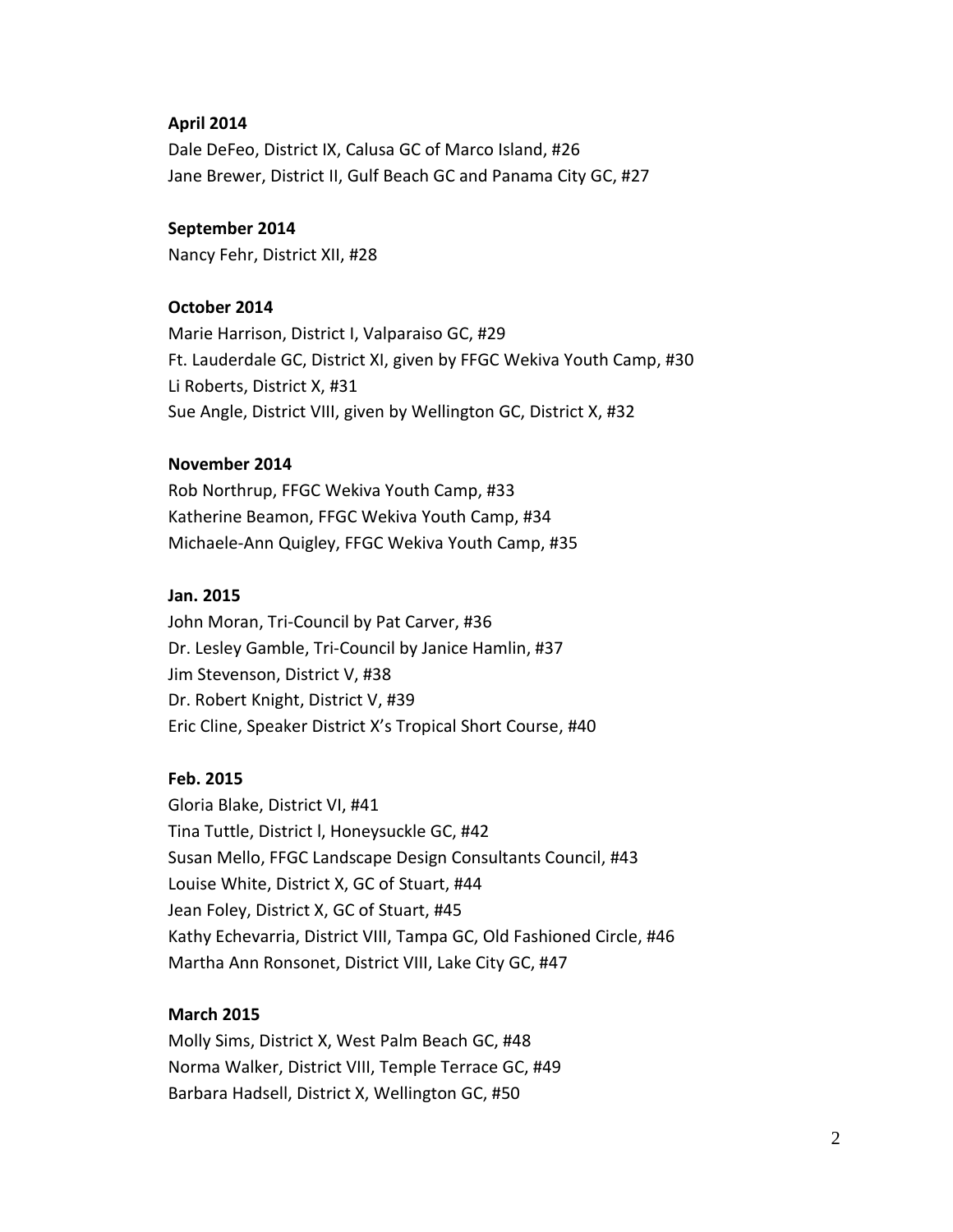### **April 2014**

Dale DeFeo, District IX, Calusa GC of Marco Island, #26 Jane Brewer, District II, Gulf Beach GC and Panama City GC, #27

#### **September 2014**

Nancy Fehr, District XII, #28

#### **October 2014**

Marie Harrison, District I, Valparaiso GC, #29 Ft. Lauderdale GC, District XI, given by FFGC Wekiva Youth Camp, #30 Li Roberts, District X, #31 Sue Angle, District VIII, given by Wellington GC, District X, #32

#### **November 2014**

Rob Northrup, FFGC Wekiva Youth Camp, #33 Katherine Beamon, FFGC Wekiva Youth Camp, #34 Michaele-Ann Quigley, FFGC Wekiva Youth Camp, #35

#### **Jan. 2015**

John Moran, Tri-Council by Pat Carver, #36 Dr. Lesley Gamble, Tri-Council by Janice Hamlin, #37 Jim Stevenson, District V, #38 Dr. Robert Knight, District V, #39 Eric Cline, Speaker District X's Tropical Short Course, #40

### **Feb. 2015**

Gloria Blake, District VI, #41 Tina Tuttle, District l, Honeysuckle GC, #42 Susan Mello, FFGC Landscape Design Consultants Council, #43 Louise White, District X, GC of Stuart, #44 Jean Foley, District X, GC of Stuart, #45 Kathy Echevarria, District VIII, Tampa GC, Old Fashioned Circle, #46 Martha Ann Ronsonet, District VIII, Lake City GC, #47

#### **March 2015**

Molly Sims, District X, West Palm Beach GC, #48 Norma Walker, District VIII, Temple Terrace GC, #49 Barbara Hadsell, District X, Wellington GC, #50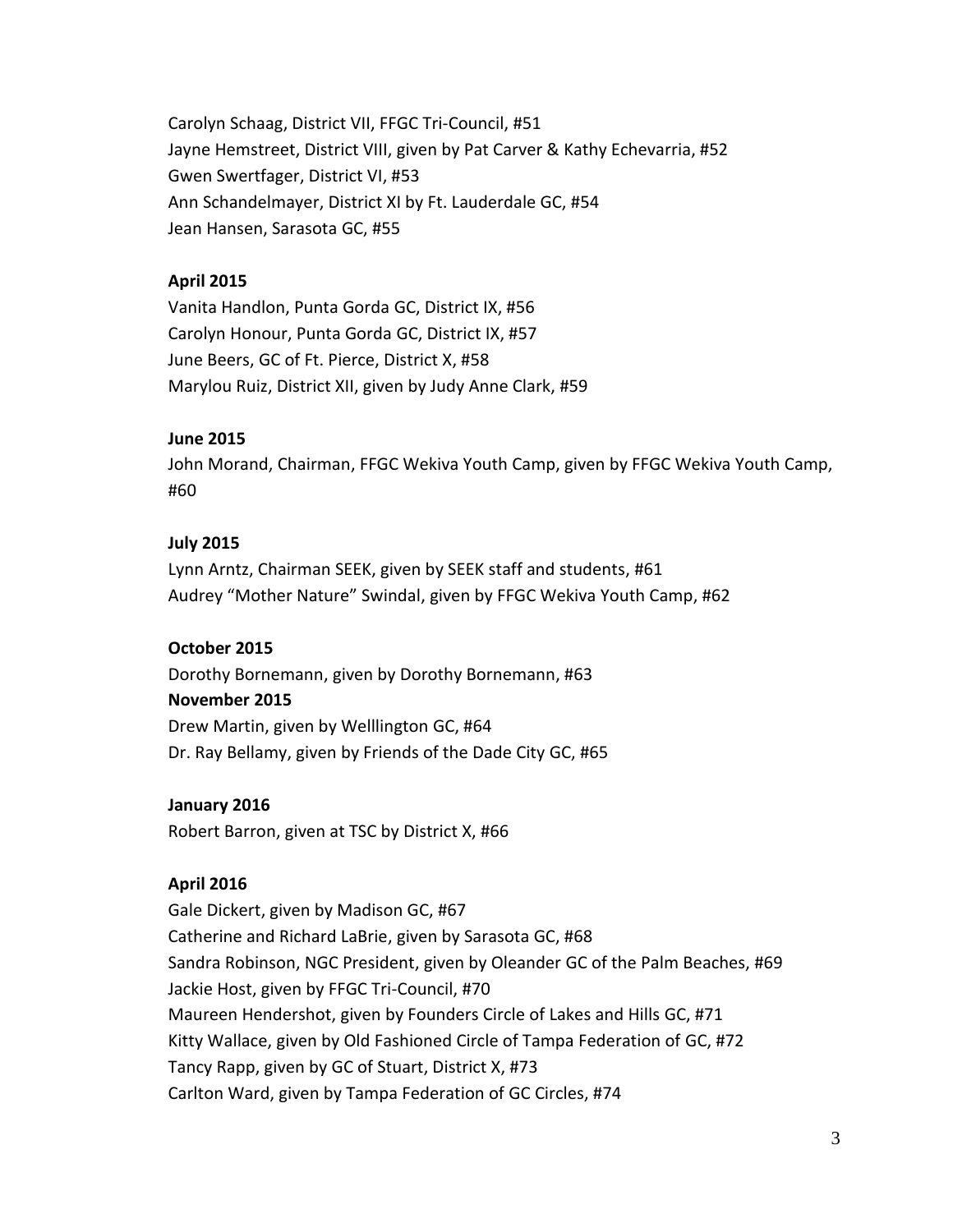Carolyn Schaag, District VII, FFGC Tri-Council, #51 Jayne Hemstreet, District VIII, given by Pat Carver & Kathy Echevarria, #52 Gwen Swertfager, District VI, #53 Ann Schandelmayer, District XI by Ft. Lauderdale GC, #54 Jean Hansen, Sarasota GC, #55

# **April 2015**

Vanita Handlon, Punta Gorda GC, District IX, #56 Carolyn Honour, Punta Gorda GC, District IX, #57 June Beers, GC of Ft. Pierce, District X, #58 Marylou Ruiz, District XII, given by Judy Anne Clark, #59

# **June 2015**

John Morand, Chairman, FFGC Wekiva Youth Camp, given by FFGC Wekiva Youth Camp, #60

# **July 2015**

Lynn Arntz, Chairman SEEK, given by SEEK staff and students, #61 Audrey "Mother Nature" Swindal, given by FFGC Wekiva Youth Camp, #62

# **October 2015**

Dorothy Bornemann, given by Dorothy Bornemann, #63 **November 2015** Drew Martin, given by Welllington GC, #64 Dr. Ray Bellamy, given by Friends of the Dade City GC, #65

# **January 2016**

Robert Barron, given at TSC by District X, #66

# **April 2016**

Gale Dickert, given by Madison GC, #67 Catherine and Richard LaBrie, given by Sarasota GC, #68 Sandra Robinson, NGC President, given by Oleander GC of the Palm Beaches, #69 Jackie Host, given by FFGC Tri-Council, #70 Maureen Hendershot, given by Founders Circle of Lakes and Hills GC, #71 Kitty Wallace, given by Old Fashioned Circle of Tampa Federation of GC, #72 Tancy Rapp, given by GC of Stuart, District X, #73 Carlton Ward, given by Tampa Federation of GC Circles, #74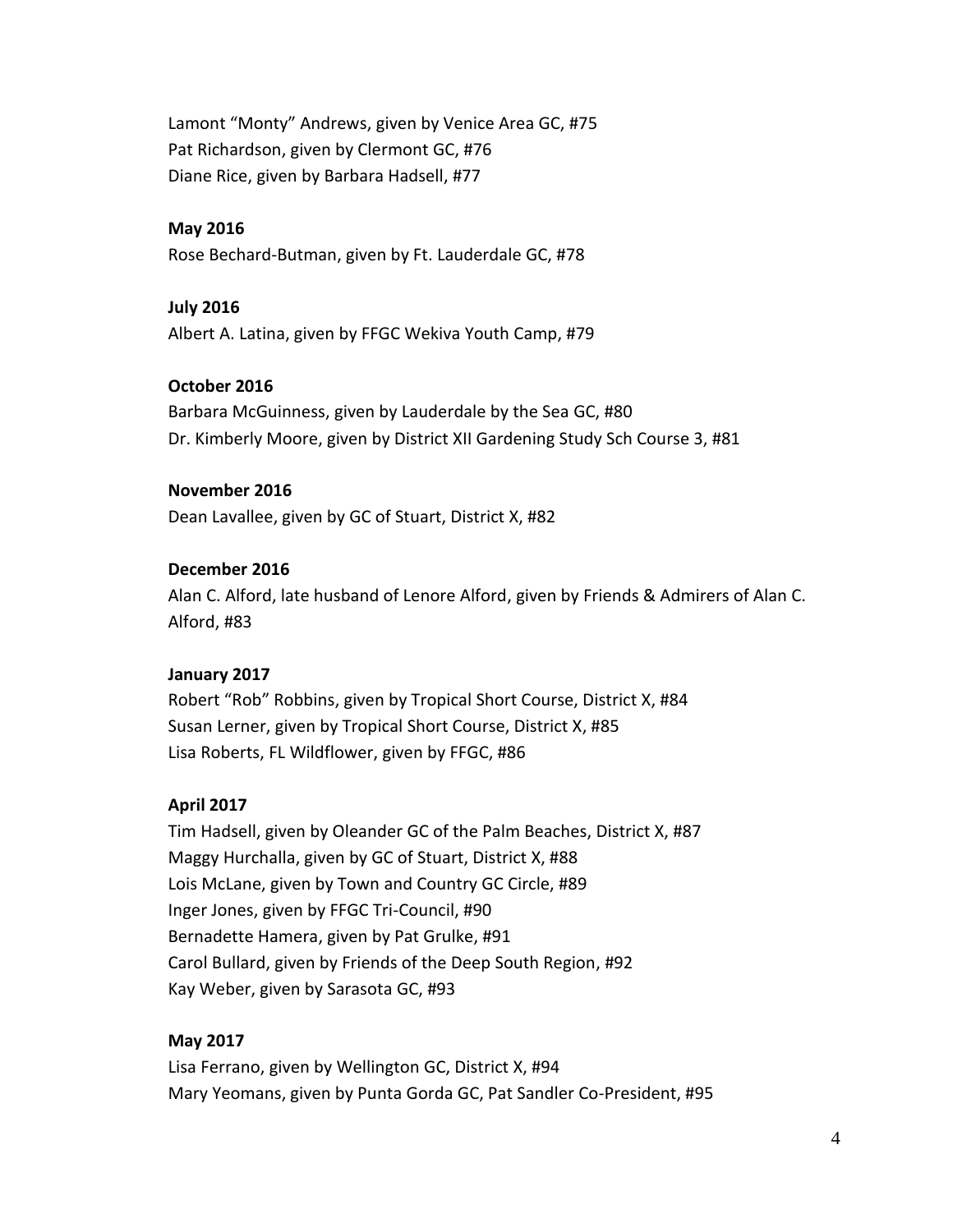Lamont "Monty" Andrews, given by Venice Area GC, #75 Pat Richardson, given by Clermont GC, #76 Diane Rice, given by Barbara Hadsell, #77

# **May 2016**

Rose Bechard-Butman, given by Ft. Lauderdale GC, #78

## **July 2016**

Albert A. Latina, given by FFGC Wekiva Youth Camp, #79

# **October 2016**

Barbara McGuinness, given by Lauderdale by the Sea GC, #80 Dr. Kimberly Moore, given by District XII Gardening Study Sch Course 3, #81

# **November 2016**

Dean Lavallee, given by GC of Stuart, District X, #82

# **December 2016**

Alan C. Alford, late husband of Lenore Alford, given by Friends & Admirers of Alan C. Alford, #83

# **January 2017**

Robert "Rob" Robbins, given by Tropical Short Course, District X, #84 Susan Lerner, given by Tropical Short Course, District X, #85 Lisa Roberts, FL Wildflower, given by FFGC, #86

# **April 2017**

Tim Hadsell, given by Oleander GC of the Palm Beaches, District X, #87 Maggy Hurchalla, given by GC of Stuart, District X, #88 Lois McLane, given by Town and Country GC Circle, #89 Inger Jones, given by FFGC Tri-Council, #90 Bernadette Hamera, given by Pat Grulke, #91 Carol Bullard, given by Friends of the Deep South Region, #92 Kay Weber, given by Sarasota GC, #93

# **May 2017**

Lisa Ferrano, given by Wellington GC, District X, #94 Mary Yeomans, given by Punta Gorda GC, Pat Sandler Co-President, #95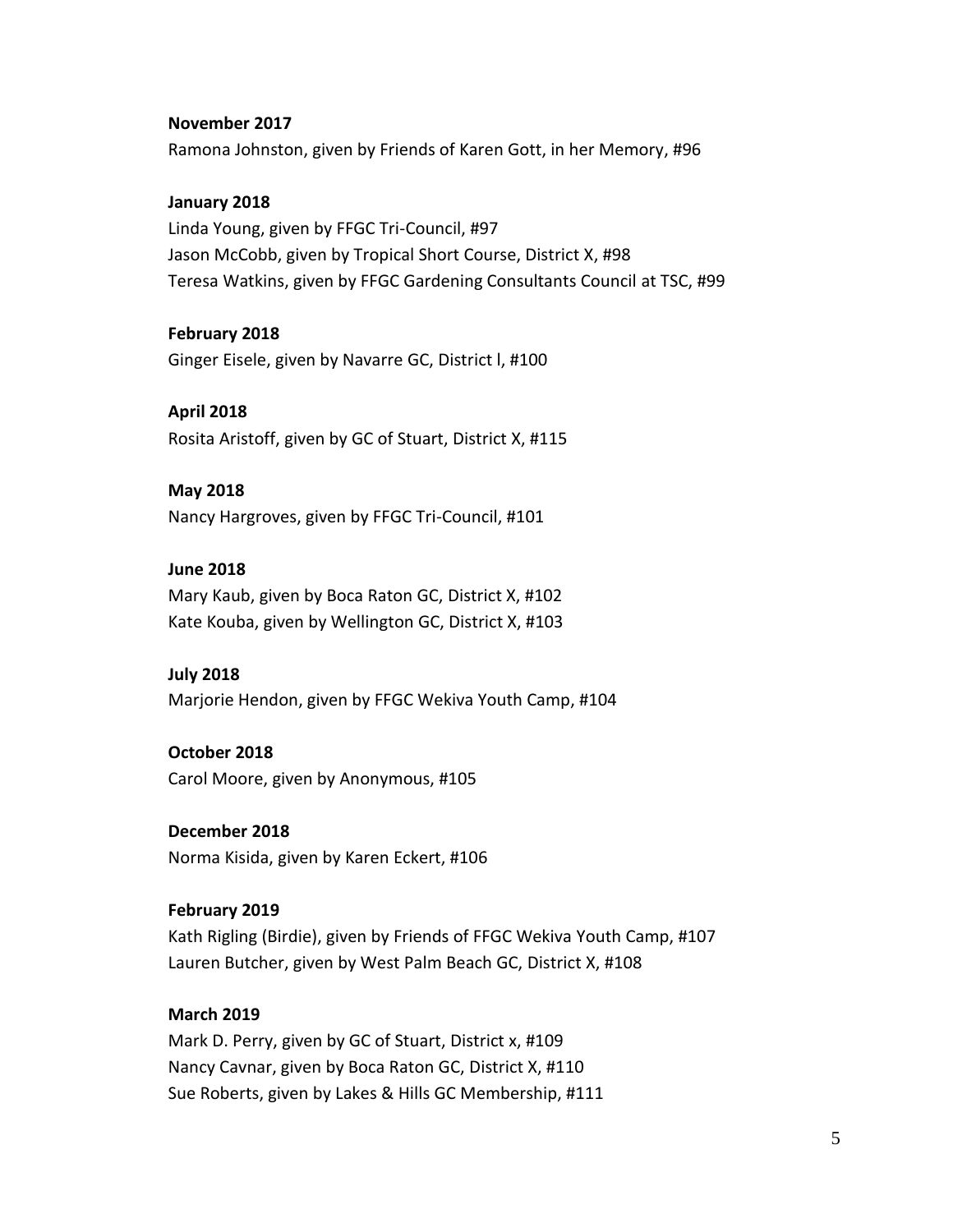#### **November 2017**

Ramona Johnston, given by Friends of Karen Gott, in her Memory, #96

### **January 2018**

Linda Young, given by FFGC Tri-Council, #97 Jason McCobb, given by Tropical Short Course, District X, #98 Teresa Watkins, given by FFGC Gardening Consultants Council at TSC, #99

### **February 2018**

Ginger Eisele, given by Navarre GC, District l, #100

# **April 2018** Rosita Aristoff, given by GC of Stuart, District X, #115

# **May 2018** Nancy Hargroves, given by FFGC Tri-Council, #101

## **June 2018**

Mary Kaub, given by Boca Raton GC, District X, #102 Kate Kouba, given by Wellington GC, District X, #103

## **July 2018**

Marjorie Hendon, given by FFGC Wekiva Youth Camp, #104

## **October 2018**

Carol Moore, given by Anonymous, #105

#### **December 2018**

Norma Kisida, given by Karen Eckert, #106

# **February 2019**

Kath Rigling (Birdie), given by Friends of FFGC Wekiva Youth Camp, #107 Lauren Butcher, given by West Palm Beach GC, District X, #108

## **March 2019**

Mark D. Perry, given by GC of Stuart, District x, #109 Nancy Cavnar, given by Boca Raton GC, District X, #110 Sue Roberts, given by Lakes & Hills GC Membership, #111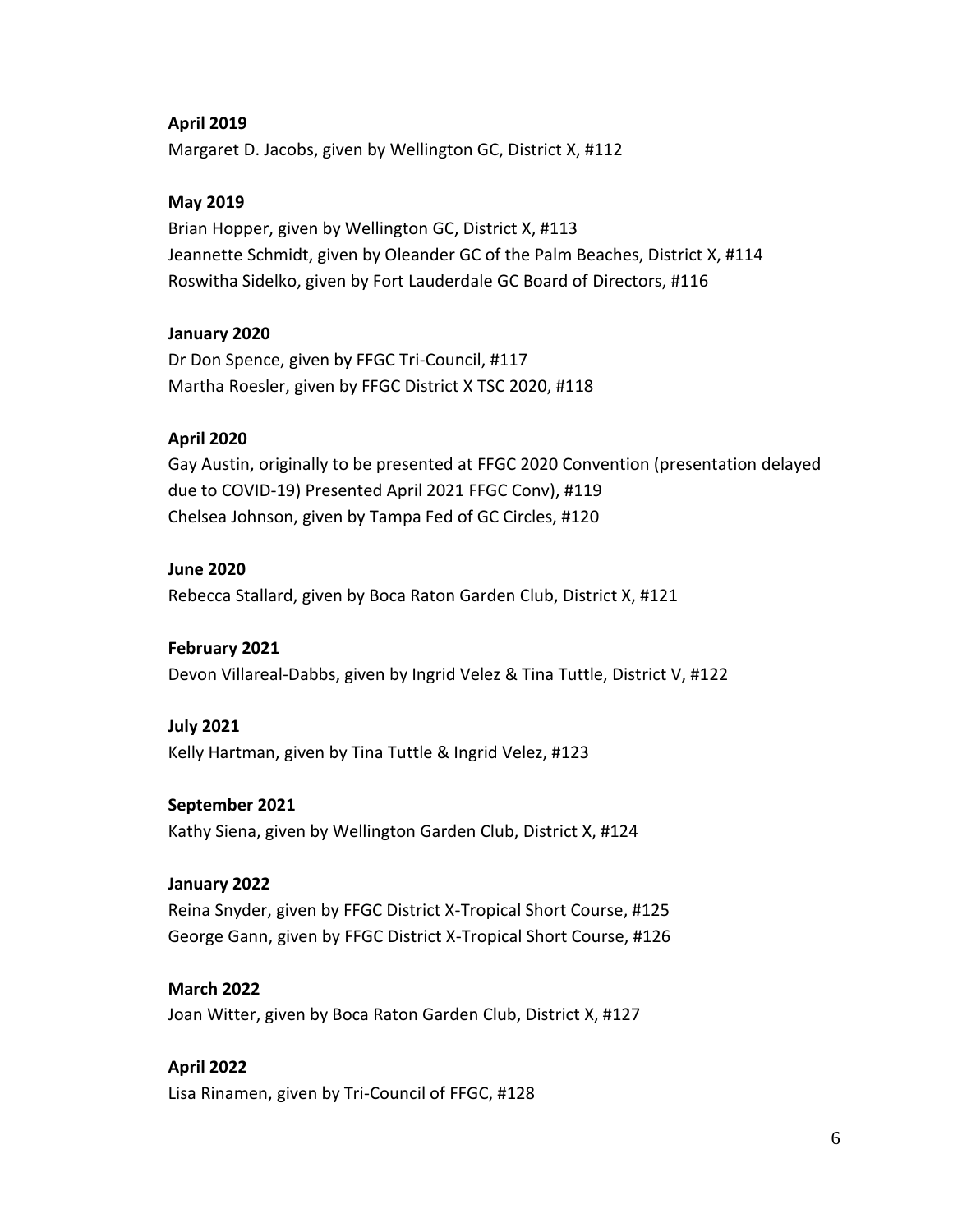## **April 2019**

Margaret D. Jacobs, given by Wellington GC, District X, #112

## **May 2019**

Brian Hopper, given by Wellington GC, District X, #113 Jeannette Schmidt, given by Oleander GC of the Palm Beaches, District X, #114 Roswitha Sidelko, given by Fort Lauderdale GC Board of Directors, #116

# **January 2020**

Dr Don Spence, given by FFGC Tri-Council, #117 Martha Roesler, given by FFGC District X TSC 2020, #118

## **April 2020**

Gay Austin, originally to be presented at FFGC 2020 Convention (presentation delayed due to COVID-19) Presented April 2021 FFGC Conv), #119 Chelsea Johnson, given by Tampa Fed of GC Circles, #120

## **June 2020**

Rebecca Stallard, given by Boca Raton Garden Club, District X, #121

## **February 2021**

Devon Villareal-Dabbs, given by Ingrid Velez & Tina Tuttle, District V, #122

## **July 2021**

Kelly Hartman, given by Tina Tuttle & Ingrid Velez, #123

## **September 2021**

Kathy Siena, given by Wellington Garden Club, District X, #124

## **January 2022**

Reina Snyder, given by FFGC District X-Tropical Short Course, #125 George Gann, given by FFGC District X-Tropical Short Course, #126

## **March 2022**

Joan Witter, given by Boca Raton Garden Club, District X, #127

# **April 2022** Lisa Rinamen, given by Tri-Council of FFGC, #128